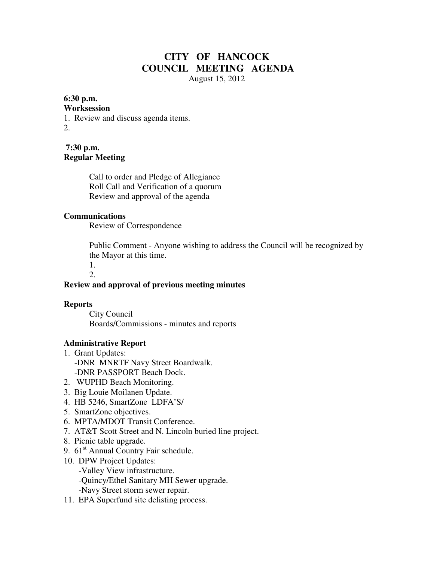# **CITY OF HANCOCK COUNCIL MEETING AGENDA**  August 15, 2012

### **6:30 p.m.**

#### **Worksession**

1. Review and discuss agenda items.

2.

**7:30 p.m. Regular Meeting** 

> Call to order and Pledge of Allegiance Roll Call and Verification of a quorum Review and approval of the agenda

### **Communications**

Review of Correspondence

 Public Comment - Anyone wishing to address the Council will be recognized by the Mayor at this time.

 1.  $2<sub>1</sub>$ 

# **Review and approval of previous meeting minutes**

## **Reports**

City Council Boards/Commissions - minutes and reports

## **Administrative Report**

- 1. Grant Updates: -DNR MNRTF Navy Street Boardwalk. -DNR PASSPORT Beach Dock.
- 2. WUPHD Beach Monitoring.
- 3. Big Louie Moilanen Update.
- 4. HB 5246, SmartZone LDFA'S/
- 5. SmartZone objectives.
- 6. MPTA/MDOT Transit Conference.
- 7. AT&T Scott Street and N. Lincoln buried line project.
- 8. Picnic table upgrade.
- 9.  $61<sup>st</sup>$  Annual Country Fair schedule.
- 10. DPW Project Updates:
	- -Valley View infrastructure.
	- -Quincy/Ethel Sanitary MH Sewer upgrade.
	- -Navy Street storm sewer repair.
- 11. EPA Superfund site delisting process.